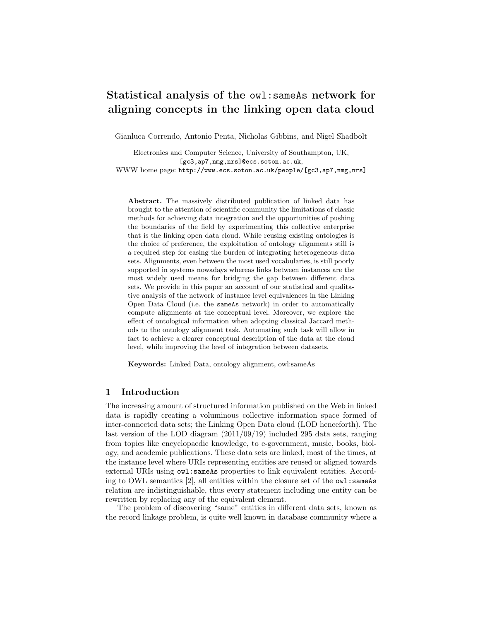# Statistical analysis of the owl:sameAs network for aligning concepts in the linking open data cloud

Gianluca Correndo, Antonio Penta, Nicholas Gibbins, and Nigel Shadbolt

Electronics and Computer Science, University of Southampton, UK, [gc3,ap7,nmg,nrs]@ecs.soton.ac.uk, WWW home page: http://www.ecs.soton.ac.uk/people/[gc3,ap7,nmg,nrs]

Abstract. The massively distributed publication of linked data has brought to the attention of scientific community the limitations of classic methods for achieving data integration and the opportunities of pushing the boundaries of the field by experimenting this collective enterprise that is the linking open data cloud. While reusing existing ontologies is the choice of preference, the exploitation of ontology alignments still is a required step for easing the burden of integrating heterogeneous data sets. Alignments, even between the most used vocabularies, is still poorly supported in systems nowadays whereas links between instances are the most widely used means for bridging the gap between different data sets. We provide in this paper an account of our statistical and qualitative analysis of the network of instance level equivalences in the Linking Open Data Cloud (i.e. the sameAs network) in order to automatically compute alignments at the conceptual level. Moreover, we explore the effect of ontological information when adopting classical Jaccard methods to the ontology alignment task. Automating such task will allow in fact to achieve a clearer conceptual description of the data at the cloud level, while improving the level of integration between datasets.

Keywords: Linked Data, ontology alignment, owl:sameAs

# 1 Introduction

The increasing amount of structured information published on the Web in linked data is rapidly creating a voluminous collective information space formed of inter-connected data sets; the Linking Open Data cloud (LOD henceforth). The last version of the LOD diagram (2011/09/19) included 295 data sets, ranging from topics like encyclopaedic knowledge, to e-government, music, books, biology, and academic publications. These data sets are linked, most of the times, at the instance level where URIs representing entities are reused or aligned towards external URIs using owl:sameAs properties to link equivalent entities. According to OWL semantics [2], all entities within the closure set of the owl:sameAs relation are indistinguishable, thus every statement including one entity can be rewritten by replacing any of the equivalent element.

The problem of discovering "same" entities in different data sets, known as the record linkage problem, is quite well known in database community where a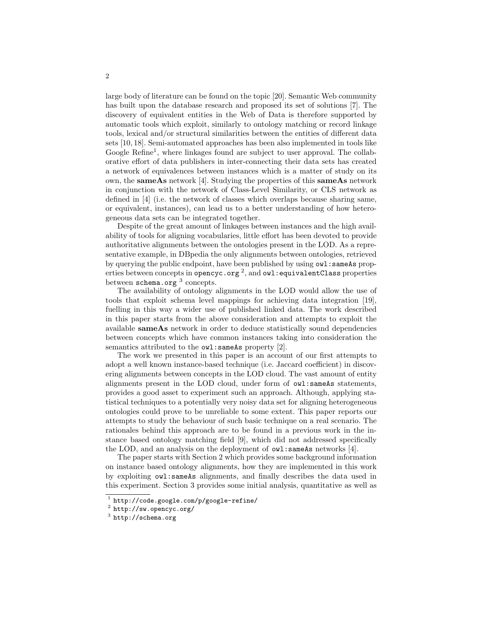large body of literature can be found on the topic [20]. Semantic Web community has built upon the database research and proposed its set of solutions [7]. The discovery of equivalent entities in the Web of Data is therefore supported by automatic tools which exploit, similarly to ontology matching or record linkage tools, lexical and/or structural similarities between the entities of different data sets [10, 18]. Semi-automated approaches has been also implemented in tools like Google Refine<sup>1</sup>, where linkages found are subject to user approval. The collaborative effort of data publishers in inter-connecting their data sets has created a network of equivalences between instances which is a matter of study on its own, the sameAs network [4]. Studying the properties of this sameAs network in conjunction with the network of Class-Level Similarity, or CLS network as defined in [4] (i.e. the network of classes which overlaps because sharing same, or equivalent, instances), can lead us to a better understanding of how heterogeneous data sets can be integrated together.

Despite of the great amount of linkages between instances and the high availability of tools for aligning vocabularies, little effort has been devoted to provide authoritative alignments between the ontologies present in the LOD. As a representative example, in DBpedia the only alignments between ontologies, retrieved by querying the public endpoint, have been published by using  $\text{owl:sameAs}$  properties between concepts in  $\operatorname{\sf opercyc.org}$   $^2,$  and  $\operatorname{\sf owl:}$  equivalentClass properties between schema.org<sup>3</sup> concepts.

The availability of ontology alignments in the LOD would allow the use of tools that exploit schema level mappings for achieving data integration [19], fuelling in this way a wider use of published linked data. The work described in this paper starts from the above consideration and attempts to exploit the available sameAs network in order to deduce statistically sound dependencies between concepts which have common instances taking into consideration the semantics attributed to the owl: sameAs property [2].

The work we presented in this paper is an account of our first attempts to adopt a well known instance-based technique (i.e. Jaccard coefficient) in discovering alignments between concepts in the LOD cloud. The vast amount of entity alignments present in the LOD cloud, under form of owl:sameAs statements, provides a good asset to experiment such an approach. Although, applying statistical techniques to a potentially very noisy data set for aligning heterogeneous ontologies could prove to be unreliable to some extent. This paper reports our attempts to study the behaviour of such basic technique on a real scenario. The rationales behind this approach are to be found in a previous work in the instance based ontology matching field [9], which did not addressed specifically the LOD, and an analysis on the deployment of owl:sameAs networks [4].

The paper starts with Section 2 which provides some background information on instance based ontology alignments, how they are implemented in this work by exploiting owl:sameAs alignments, and finally describes the data used in this experiment. Section 3 provides some initial analysis, quantitative as well as

<sup>1</sup> http://code.google.com/p/google-refine/

 $^2$  http://sw.opencyc.org/

 $^3$  http://schema.org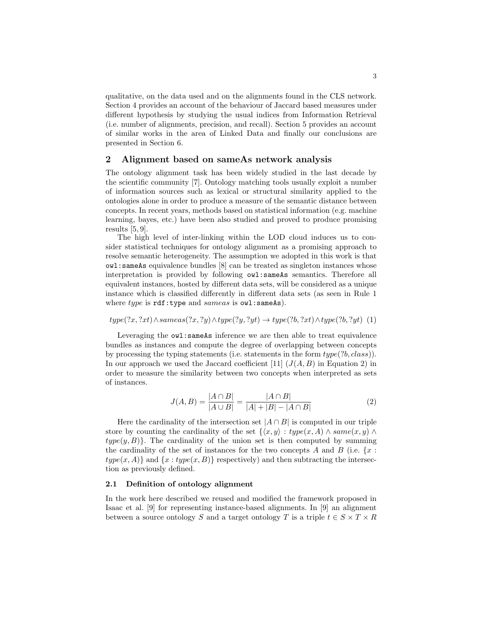qualitative, on the data used and on the alignments found in the CLS network. Section 4 provides an account of the behaviour of Jaccard based measures under different hypothesis by studying the usual indices from Information Retrieval (i.e. number of alignments, precision, and recall). Section 5 provides an account of similar works in the area of Linked Data and finally our conclusions are presented in Section 6.

# 2 Alignment based on sameAs network analysis

The ontology alignment task has been widely studied in the last decade by the scientific community [7]. Ontology matching tools usually exploit a number of information sources such as lexical or structural similarity applied to the ontologies alone in order to produce a measure of the semantic distance between concepts. In recent years, methods based on statistical information (e.g. machine learning, bayes, etc.) have been also studied and proved to produce promising results [5, 9].

The high level of inter-linking within the LOD cloud induces us to consider statistical techniques for ontology alignment as a promising approach to resolve semantic heterogeneity. The assumption we adopted in this work is that owl:sameAs equivalence bundles [8] can be treated as singleton instances whose interpretation is provided by following owl:sameAs semantics. Therefore all equivalent instances, hosted by different data sets, will be considered as a unique instance which is classified differently in different data sets (as seen in Rule 1 where  $type$  is  $\texttt{rdf:type}$  and  $sameas$  is  $\texttt{owl:sameAs}$ ).

$$
type(?x, ?xt) \land sameas(?x, ?y) \land type(?y, ?yt) \rightarrow type(?b, ?xt) \land type(?b, ?yt) \tag{1}
$$

Leveraging the owl:sameAs inference we are then able to treat equivalence bundles as instances and compute the degree of overlapping between concepts by processing the typing statements (i.e. statements in the form  $type(?b, class))$ . In our approach we used the Jaccard coefficient [11]  $(J(A, B))$  in Equation 2) in order to measure the similarity between two concepts when interpreted as sets of instances.

$$
J(A,B) = \frac{|A \cap B|}{|A \cup B|} = \frac{|A \cap B|}{|A| + |B| - |A \cap B|}
$$
(2)

Here the cardinality of the intersection set  $|A \cap B|$  is computed in our triple store by counting the cardinality of the set  $\{\langle x, y \rangle : type(x, A) \wedge same(x, y) \wedge$  $type(y, B)$ . The cardinality of the union set is then computed by summing the cardinality of the set of instances for the two concepts A and B (i.e.  $\{x:$  $type(x, A)$  and  $\{x : type(x, B)\}$  respectively) and then subtracting the intersection as previously defined.

#### 2.1 Definition of ontology alignment

In the work here described we reused and modified the framework proposed in Isaac et al. [9] for representing instance-based alignments. In [9] an alignment between a source ontology S and a target ontology T is a triple  $t \in S \times T \times R$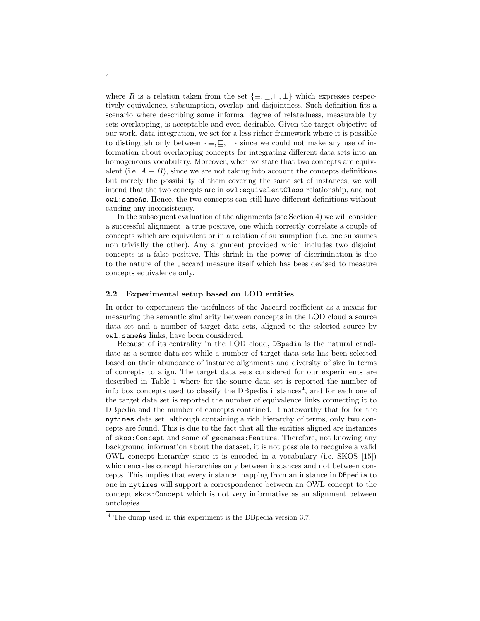where R is a relation taken from the set  $\{\equiv, \sqsubseteq, \sqcap, \perp\}$  which expresses respectively equivalence, subsumption, overlap and disjointness. Such definition fits a scenario where describing some informal degree of relatedness, measurable by sets overlapping, is acceptable and even desirable. Given the target objective of our work, data integration, we set for a less richer framework where it is possible to distinguish only between  $\{\equiv, \sqsubseteq, \perp\}$  since we could not make any use of information about overlapping concepts for integrating different data sets into an homogeneous vocabulary. Moreover, when we state that two concepts are equivalent (i.e.  $A \equiv B$ ), since we are not taking into account the concepts definitions but merely the possibility of them covering the same set of instances, we will intend that the two concepts are in owl:equivalentClass relationship, and not owl:sameAs. Hence, the two concepts can still have different definitions without causing any inconsistency.

In the subsequent evaluation of the alignments (see Section 4) we will consider a successful alignment, a true positive, one which correctly correlate a couple of concepts which are equivalent or in a relation of subsumption (i.e. one subsumes non trivially the other). Any alignment provided which includes two disjoint concepts is a false positive. This shrink in the power of discrimination is due to the nature of the Jaccard measure itself which has bees devised to measure concepts equivalence only.

#### 2.2 Experimental setup based on LOD entities

In order to experiment the usefulness of the Jaccard coefficient as a means for measuring the semantic similarity between concepts in the LOD cloud a source data set and a number of target data sets, aligned to the selected source by owl:sameAs links, have been considered.

Because of its centrality in the LOD cloud, DBpedia is the natural candidate as a source data set while a number of target data sets has been selected based on their abundance of instance alignments and diversity of size in terms of concepts to align. The target data sets considered for our experiments are described in Table 1 where for the source data set is reported the number of info box concepts used to classify the DB pedia instances<sup>4</sup>, and for each one of the target data set is reported the number of equivalence links connecting it to DBpedia and the number of concepts contained. It noteworthy that for for the nytimes data set, although containing a rich hierarchy of terms, only two concepts are found. This is due to the fact that all the entities aligned are instances of skos:Concept and some of geonames:Feature. Therefore, not knowing any background information about the dataset, it is not possible to recognize a valid OWL concept hierarchy since it is encoded in a vocabulary (i.e. SKOS [15]) which encodes concept hierarchies only between instances and not between concepts. This implies that every instance mapping from an instance in DBpedia to one in nytimes will support a correspondence between an OWL concept to the concept skos:Concept which is not very informative as an alignment between ontologies.

<sup>4</sup> The dump used in this experiment is the DBpedia version 3.7.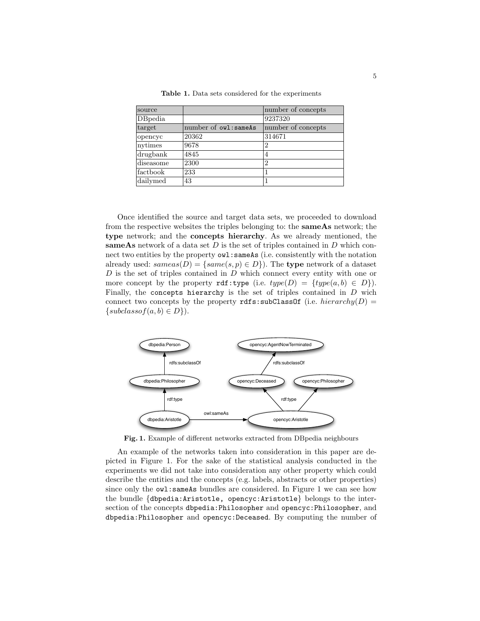| source    |                      | number of concepts |
|-----------|----------------------|--------------------|
| DBpedia   |                      | 9237320            |
| target    | number of owl:sameAs | number of concepts |
| opencyc   | 20362                | 314671             |
| nytimes   | 9678                 | 2                  |
| drugbank  | 4845                 | 4                  |
| diseasome | 2300                 | $\overline{2}$     |
| factbook  | 233                  |                    |
| dailymed  | 43                   |                    |

Table 1. Data sets considered for the experiments

Once identified the source and target data sets, we proceeded to download from the respective websites the triples belonging to: the sameAs network; the type network; and the concepts hierarchy. As we already mentioned, the sameAs network of a data set  $D$  is the set of triples contained in  $D$  which connect two entities by the property owl:sameAs (i.e. consistently with the notation already used:  $same(s, p) = \{same(s, p) \in D\}$ . The **type** network of a dataset  $D$  is the set of triples contained in  $D$  which connect every entity with one or more concept by the property rdf:type (i.e.  $type(D) = \{type(a, b) \in D\}$ ). Finally, the concepts hierarchy is the set of triples contained in D wich connect two concepts by the property rdfs:subClassOf (i.e. hierarchy(D) =  $\{subclassof(a, b) \in D\}$ .



Fig. 1. Example of different networks extracted from DBpedia neighbours

An example of the networks taken into consideration in this paper are depicted in Figure 1. For the sake of the statistical analysis conducted in the experiments we did not take into consideration any other property which could describe the entities and the concepts (e.g. labels, abstracts or other properties) since only the owl: sameAs bundles are considered. In Figure 1 we can see how the bundle {dbpedia:Aristotle, opencyc:Aristotle} belongs to the intersection of the concepts dbpedia:Philosopher and opencyc:Philosopher, and dbpedia:Philosopher and opencyc:Deceased. By computing the number of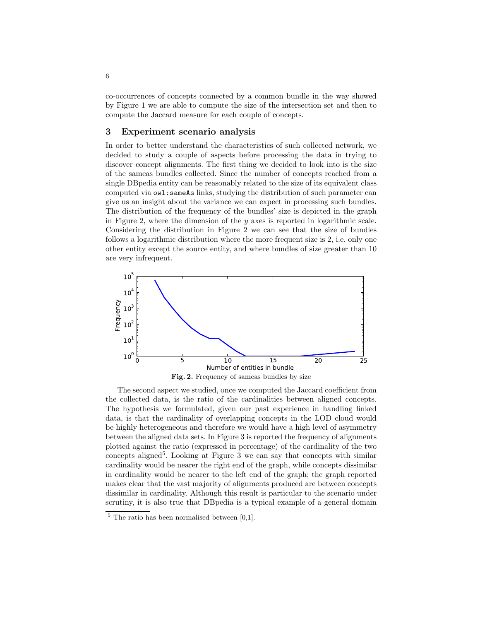co-occurrences of concepts connected by a common bundle in the way showed by Figure 1 we are able to compute the size of the intersection set and then to compute the Jaccard measure for each couple of concepts.

# 3 Experiment scenario analysis

In order to better understand the characteristics of such collected network, we decided to study a couple of aspects before processing the data in trying to discover concept alignments. The first thing we decided to look into is the size of the sameas bundles collected. Since the number of concepts reached from a single DBpedia entity can be reasonably related to the size of its equivalent class computed via owl:sameAs links, studying the distribution of such parameter can give us an insight about the variance we can expect in processing such bundles. The distribution of the frequency of the bundles' size is depicted in the graph in Figure 2, where the dimension of the y axes is reported in logarithmic scale. Considering the distribution in Figure 2 we can see that the size of bundles follows a logarithmic distribution where the more frequent size is 2, i.e. only one other entity except the source entity, and where bundles of size greater than 10 are very infrequent.



The second aspect we studied, once we computed the Jaccard coefficient from the collected data, is the ratio of the cardinalities between aligned concepts. The hypothesis we formulated, given our past experience in handling linked data, is that the cardinality of overlapping concepts in the LOD cloud would be highly heterogeneous and therefore we would have a high level of asymmetry between the aligned data sets. In Figure 3 is reported the frequency of alignments plotted against the ratio (expressed in percentage) of the cardinality of the two concepts aligned<sup>5</sup>. Looking at Figure 3 we can say that concepts with similar cardinality would be nearer the right end of the graph, while concepts dissimilar in cardinality would be nearer to the left end of the graph; the graph reported makes clear that the vast majority of alignments produced are between concepts dissimilar in cardinality. Although this result is particular to the scenario under scrutiny, it is also true that DBpedia is a typical example of a general domain

 $5$  The ratio has been normalised between [0,1].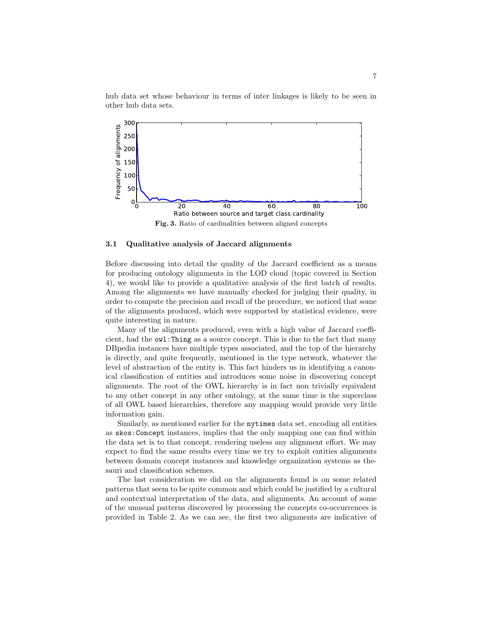hub data set whose behaviour in terms of inter linkages is likely to be seen in other hub data sets.



#### 3.1 Qualitative analysis of Jaccard alignments

Before discussing into detail the quality of the Jaccard coefficient as a means for producing ontology alignments in the LOD cloud (topic covered in Section 4), we would like to provide a qualitative analysis of the first batch of results. Among the alignments we have manually checked for judging their quality, in order to compute the precision and recall of the procedure, we noticed that some of the alignments produced, which were supported by statistical evidence, were quite interesting in nature.

Many of the alignments produced, even with a high value of Jaccard coefficient, had the owl:Thing as a source concept. This is due to the fact that many DBpedia instances have multiple types associated, and the top of the hierarchy is directly, and quite frequently, mentioned in the type network, whatever the level of abstraction of the entity is. This fact hinders us in identifying a canonical classification of entities and introduces some noise in discovering concept alignments. The root of the OWL hierarchy is in fact non trivially equivalent to any other concept in any other ontology, at the same time is the superclass of all OWL based hierarchies, therefore any mapping would provide very little information gain.

Similarly, as mentioned earlier for the nytimes data set, encoding all entities as skos:Concept instances, implies that the only mapping one can find within the data set is to that concept, rendering useless any alignment effort. We may expect to find the same results every time we try to exploit entities alignments between domain concept instances and knowledge organization systems as thesauri and classification schemes.

The last consideration we did on the alignments found is on some related patterns that seem to be quite common and which could be justified by a cultural and contextual interpretation of the data, and alignments. An account of some of the unusual patterns discovered by processing the concepts co-occurrences is provided in Table 2. As we can see, the first two alignments are indicative of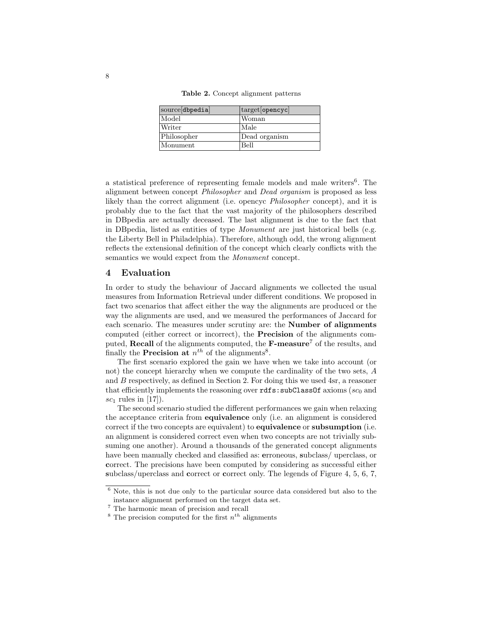| <b>Table 2.</b> Concept alignment patterns |  |
|--------------------------------------------|--|
|--------------------------------------------|--|

| source[dbpedia] | target [opencyc] |
|-----------------|------------------|
| Model           | Woman            |
| Writer          | Male             |
| Philosopher     | Dead organism    |
| Monument        | 'Bell            |

a statistical preference of representing female models and male writers<sup>6</sup>. The alignment between concept Philosopher and Dead organism is proposed as less likely than the correct alignment (i.e. opencyc Philosopher concept), and it is probably due to the fact that the vast majority of the philosophers described in DBpedia are actually deceased. The last alignment is due to the fact that in DBpedia, listed as entities of type Monument are just historical bells (e.g. the Liberty Bell in Philadelphia). Therefore, although odd, the wrong alignment reflects the extensional definition of the concept which clearly conflicts with the semantics we would expect from the Monument concept.

#### 4 Evaluation

In order to study the behaviour of Jaccard alignments we collected the usual measures from Information Retrieval under different conditions. We proposed in fact two scenarios that affect either the way the alignments are produced or the way the alignments are used, and we measured the performances of Jaccard for each scenario. The measures under scrutiny are: the Number of alignments computed (either correct or incorrect), the Precision of the alignments computed, **Recall** of the alignments computed, the  $\mathbf{F}\text{-}\mathbf{measure}^7$  of the results, and finally the **Precision at**  $n^{th}$  of the alignments<sup>8</sup>.

The first scenario explored the gain we have when we take into account (or not) the concept hierarchy when we compute the cardinality of the two sets, A and B respectively, as defined in Section 2. For doing this we used 4sr, a reasoner that efficiently implements the reasoning over  $rds:subClassOf$  axioms ( $sc_0$  and  $sc_1$  rules in [17]).

The second scenario studied the different performances we gain when relaxing the acceptance criteria from equivalence only (i.e. an alignment is considered correct if the two concepts are equivalent) to equivalence or subsumption (i.e. an alignment is considered correct even when two concepts are not trivially subsuming one another). Around a thousands of the generated concept alignments have been manually checked and classified as: erroneous, subclass/ uperclass, or correct. The precisions have been computed by considering as successful either subclass/uperclass and correct or correct only. The legends of Figure 4, 5, 6, 7,

<sup>6</sup> Note, this is not due only to the particular source data considered but also to the instance alignment performed on the target data set.

<sup>7</sup> The harmonic mean of precision and recall

<sup>&</sup>lt;sup>8</sup> The precision computed for the first  $n^{th}$  alignments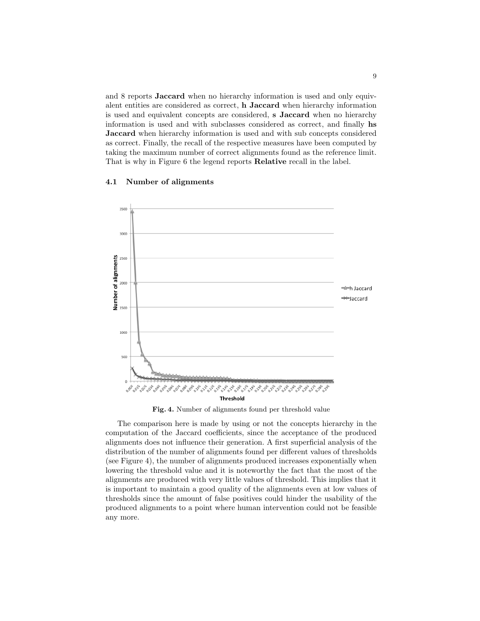and 8 reports Jaccard when no hierarchy information is used and only equivalent entities are considered as correct, h Jaccard when hierarchy information is used and equivalent concepts are considered, s Jaccard when no hierarchy information is used and with subclasses considered as correct, and finally hs Jaccard when hierarchy information is used and with sub concepts considered as correct. Finally, the recall of the respective measures have been computed by taking the maximum number of correct alignments found as the reference limit. That is why in Figure 6 the legend reports Relative recall in the label.

# 4.1 Number of alignments



Fig. 4. Number of alignments found per threshold value

The comparison here is made by using or not the concepts hierarchy in the computation of the Jaccard coefficients, since the acceptance of the produced alignments does not influence their generation. A first superficial analysis of the distribution of the number of alignments found per different values of thresholds (see Figure 4), the number of alignments produced increases exponentially when lowering the threshold value and it is noteworthy the fact that the most of the alignments are produced with very little values of threshold. This implies that it is important to maintain a good quality of the alignments even at low values of thresholds since the amount of false positives could hinder the usability of the produced alignments to a point where human intervention could not be feasible any more.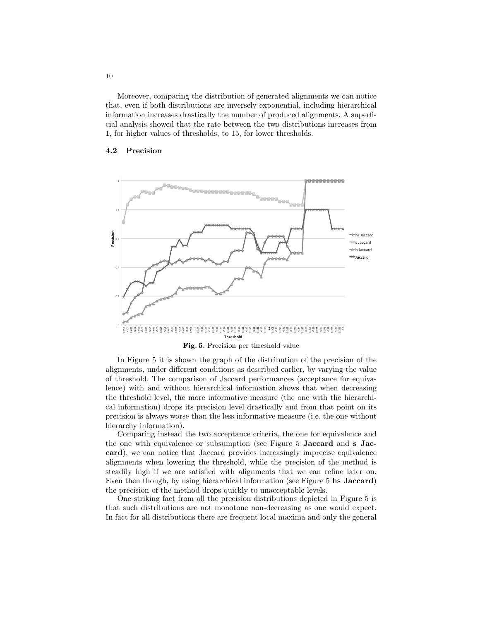Moreover, comparing the distribution of generated alignments we can notice that, even if both distributions are inversely exponential, including hierarchical information increases drastically the number of produced alignments. A superficial analysis showed that the rate between the two distributions increases from 1, for higher values of thresholds, to 15, for lower thresholds.

# 4.2 Precision



#### Fig. 5. Precision per threshold value

In Figure 5 it is shown the graph of the distribution of the precision of the alignments, under different conditions as described earlier, by varying the value of threshold. The comparison of Jaccard performances (acceptance for equivalence) with and without hierarchical information shows that when decreasing the threshold level, the more informative measure (the one with the hierarchical information) drops its precision level drastically and from that point on its precision is always worse than the less informative measure (i.e. the one without hierarchy information).

Comparing instead the two acceptance criteria, the one for equivalence and the one with equivalence or subsumption (see Figure 5 Jaccard and s Jaccard), we can notice that Jaccard provides increasingly imprecise equivalence alignments when lowering the threshold, while the precision of the method is steadily high if we are satisfied with alignments that we can refine later on. Even then though, by using hierarchical information (see Figure 5 hs Jaccard) the precision of the method drops quickly to unacceptable levels.

One striking fact from all the precision distributions depicted in Figure 5 is that such distributions are not monotone non-decreasing as one would expect. In fact for all distributions there are frequent local maxima and only the general

10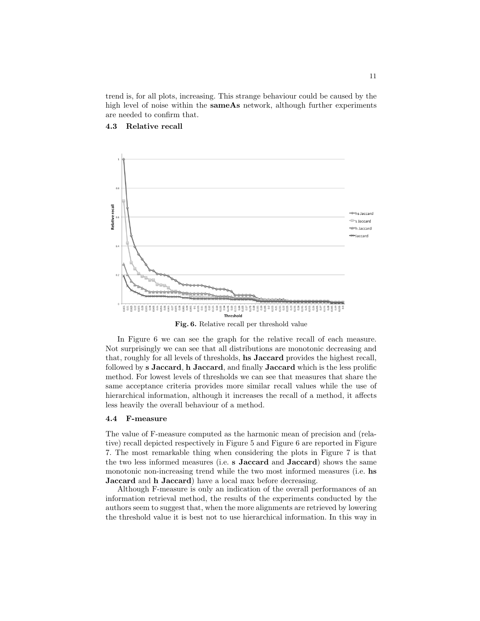trend is, for all plots, increasing. This strange behaviour could be caused by the high level of noise within the **sameAs** network, although further experiments are needed to confirm that.

#### 4.3 Relative recall



Fig. 6. Relative recall per threshold value

In Figure 6 we can see the graph for the relative recall of each measure. Not surprisingly we can see that all distributions are monotonic decreasing and that, roughly for all levels of thresholds, hs Jaccard provides the highest recall, followed by s Jaccard, h Jaccard, and finally Jaccard which is the less prolific method. For lowest levels of thresholds we can see that measures that share the same acceptance criteria provides more similar recall values while the use of hierarchical information, although it increases the recall of a method, it affects less heavily the overall behaviour of a method.

### 4.4 F-measure

The value of F-measure computed as the harmonic mean of precision and (relative) recall depicted respectively in Figure 5 and Figure 6 are reported in Figure 7. The most remarkable thing when considering the plots in Figure 7 is that the two less informed measures (i.e. s Jaccard and Jaccard) shows the same monotonic non-increasing trend while the two most informed measures (i.e. hs **Jaccard** and **h Jaccard**) have a local max before decreasing.

Although F-measure is only an indication of the overall performances of an information retrieval method, the results of the experiments conducted by the authors seem to suggest that, when the more alignments are retrieved by lowering the threshold value it is best not to use hierarchical information. In this way in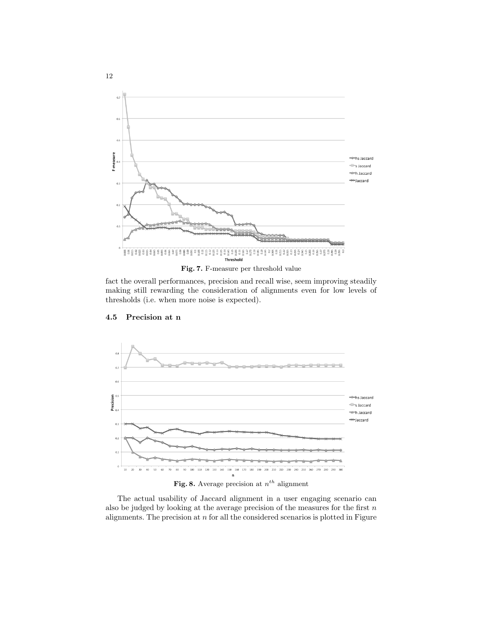

fact the overall performances, precision and recall wise, seem improving steadily making still rewarding the consideration of alignments even for low levels of thresholds (i.e. when more noise is expected).



## 4.5 Precision at n

Fig. 8. Average precision at  $n^{th}$  alignment

The actual usability of Jaccard alignment in a user engaging scenario can also be judged by looking at the average precision of the measures for the first  $n$ alignments. The precision at  $n$  for all the considered scenarios is plotted in Figure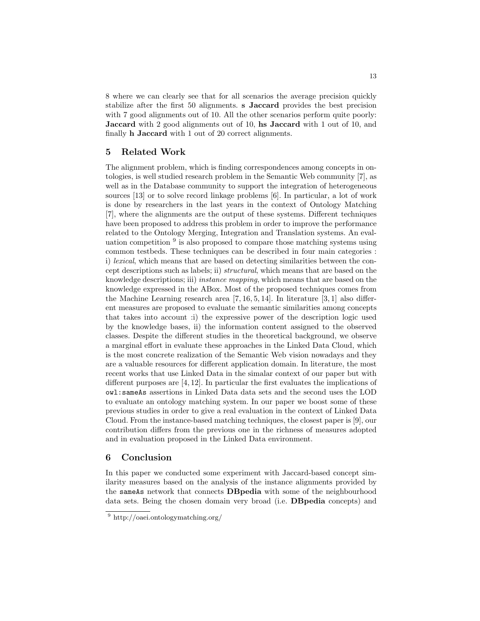8 where we can clearly see that for all scenarios the average precision quickly stabilize after the first 50 alignments. s Jaccard provides the best precision with 7 good alignments out of 10. All the other scenarios perform quite poorly: Jaccard with 2 good alignments out of 10, hs Jaccard with 1 out of 10, and finally h Jaccard with 1 out of 20 correct alignments.

# 5 Related Work

The alignment problem, which is finding correspondences among concepts in ontologies, is well studied research problem in the Semantic Web community [7], as well as in the Database community to support the integration of heterogeneous sources [13] or to solve record linkage problems [6]. In particular, a lot of work is done by researchers in the last years in the context of Ontology Matching [7], where the alignments are the output of these systems. Different techniques have been proposed to address this problem in order to improve the performance related to the Ontology Merging, Integration and Translation systems. An evaluation competition  $9$  is also proposed to compare those matching systems using common testbeds. These techniques can be described in four main categories : i) lexical, which means that are based on detecting similarities between the concept descriptions such as labels; ii) structural, which means that are based on the knowledge descriptions; iii) instance mapping, which means that are based on the knowledge expressed in the ABox. Most of the proposed techniques comes from the Machine Learning research area  $[7, 16, 5, 14]$ . In literature  $[3, 1]$  also different measures are proposed to evaluate the semantic similarities among concepts that takes into account :i) the expressive power of the description logic used by the knowledge bases, ii) the information content assigned to the observed classes. Despite the different studies in the theoretical background, we observe a marginal effort in evaluate these approaches in the Linked Data Cloud, which is the most concrete realization of the Semantic Web vision nowadays and they are a valuable resources for different application domain. In literature, the most recent works that use Linked Data in the simalar context of our paper but with different purposes are [4, 12]. In particular the first evaluates the implications of owl:sameAs assertions in Linked Data data sets and the second uses the LOD to evaluate an ontology matching system. In our paper we boost some of these previous studies in order to give a real evaluation in the context of Linked Data Cloud. From the instance-based matching techniques, the closest paper is [9], our contribution differs from the previous one in the richness of measures adopted and in evaluation proposed in the Linked Data environment.

# 6 Conclusion

In this paper we conducted some experiment with Jaccard-based concept similarity measures based on the analysis of the instance alignments provided by the sameAs network that connects DBpedia with some of the neighbourhood data sets. Being the chosen domain very broad (i.e. DBpedia concepts) and

<sup>9</sup> http://oaei.ontologymatching.org/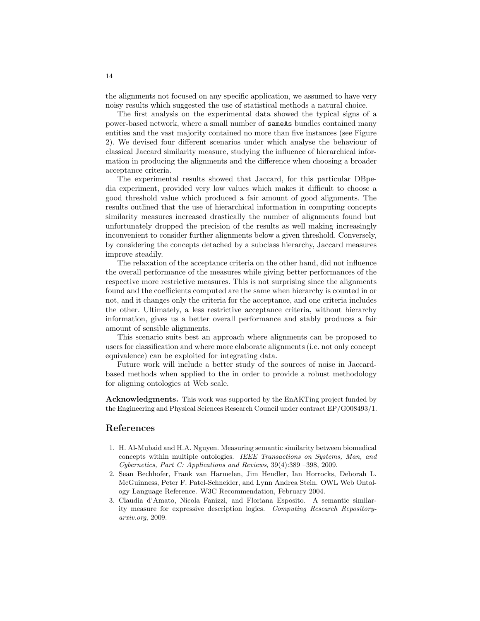the alignments not focused on any specific application, we assumed to have very noisy results which suggested the use of statistical methods a natural choice.

The first analysis on the experimental data showed the typical signs of a power-based network, where a small number of sameAs bundles contained many entities and the vast majority contained no more than five instances (see Figure 2). We devised four different scenarios under which analyse the behaviour of classical Jaccard similarity measure, studying the influence of hierarchical information in producing the alignments and the difference when choosing a broader acceptance criteria.

The experimental results showed that Jaccard, for this particular DBpedia experiment, provided very low values which makes it difficult to choose a good threshold value which produced a fair amount of good alignments. The results outlined that the use of hierarchical information in computing concepts similarity measures increased drastically the number of alignments found but unfortunately dropped the precision of the results as well making increasingly inconvenient to consider further alignments below a given threshold. Conversely, by considering the concepts detached by a subclass hierarchy, Jaccard measures improve steadily.

The relaxation of the acceptance criteria on the other hand, did not influence the overall performance of the measures while giving better performances of the respective more restrictive measures. This is not surprising since the alignments found and the coefficients computed are the same when hierarchy is counted in or not, and it changes only the criteria for the acceptance, and one criteria includes the other. Ultimately, a less restrictive acceptance criteria, without hierarchy information, gives us a better overall performance and stably produces a fair amount of sensible alignments.

This scenario suits best an approach where alignments can be proposed to users for classification and where more elaborate alignments (i.e. not only concept equivalence) can be exploited for integrating data.

Future work will include a better study of the sources of noise in Jaccardbased methods when applied to the in order to provide a robust methodology for aligning ontologies at Web scale.

Acknowledgments. This work was supported by the EnAKTing project funded by the Engineering and Physical Sciences Research Council under contract EP/G008493/1.

#### References

- 1. H. Al-Mubaid and H.A. Nguyen. Measuring semantic similarity between biomedical concepts within multiple ontologies. IEEE Transactions on Systems, Man, and Cybernetics, Part C: Applications and Reviews, 39(4):389 –398, 2009.
- 2. Sean Bechhofer, Frank van Harmelen, Jim Hendler, Ian Horrocks, Deborah L. McGuinness, Peter F. Patel-Schneider, and Lynn Andrea Stein. OWL Web Ontology Language Reference. W3C Recommendation, February 2004.
- 3. Claudia d'Amato, Nicola Fanizzi, and Floriana Esposito. A semantic similarity measure for expressive description logics. Computing Research Repositoryarxiv.org, 2009.